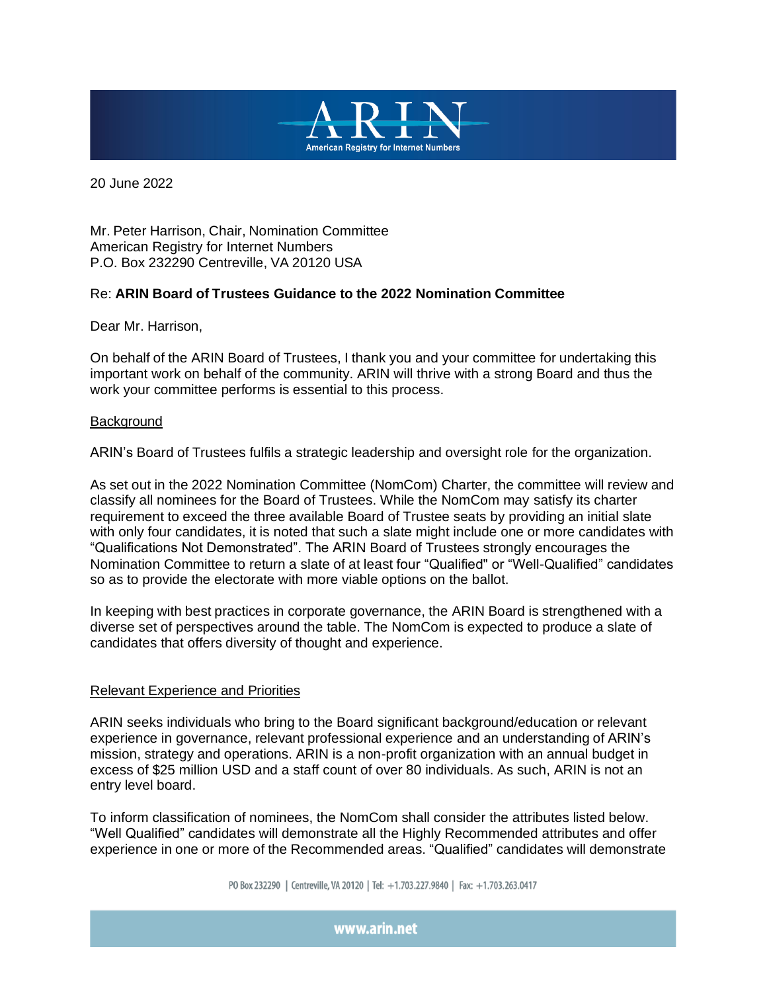

20 June 2022

Mr. Peter Harrison, Chair, Nomination Committee American Registry for Internet Numbers P.O. Box 232290 Centreville, VA 20120 USA

## Re: **ARIN Board of Trustees Guidance to the 2022 Nomination Committee**

Dear Mr. Harrison,

On behalf of the ARIN Board of Trustees, I thank you and your committee for undertaking this important work on behalf of the community. ARIN will thrive with a strong Board and thus the work your committee performs is essential to this process.

### **Background**

ARIN's Board of Trustees fulfils a strategic leadership and oversight role for the organization.

As set out in the 2022 Nomination Committee (NomCom) Charter, the committee will review and classify all nominees for the Board of Trustees. While the NomCom may satisfy its charter requirement to exceed the three available Board of Trustee seats by providing an initial slate with only four candidates, it is noted that such a slate might include one or more candidates with "Qualifications Not Demonstrated". The ARIN Board of Trustees strongly encourages the Nomination Committee to return a slate of at least four "Qualified" or "Well-Qualified" candidates so as to provide the electorate with more viable options on the ballot.

In keeping with best practices in corporate governance, the ARIN Board is strengthened with a diverse set of perspectives around the table. The NomCom is expected to produce a slate of candidates that offers diversity of thought and experience.

### Relevant Experience and Priorities

ARIN seeks individuals who bring to the Board significant background/education or relevant experience in governance, relevant professional experience and an understanding of ARIN's mission, strategy and operations. ARIN is a non-profit organization with an annual budget in excess of \$25 million USD and a staff count of over 80 individuals. As such, ARIN is not an entry level board.

To inform classification of nominees, the NomCom shall consider the attributes listed below. "Well Qualified" candidates will demonstrate all the Highly Recommended attributes and offer experience in one or more of the Recommended areas. "Qualified" candidates will demonstrate

PO Box 232290 | Centreville, VA 20120 | Tel: +1.703.227.9840 | Fax: +1.703.263.0417

www.arin.net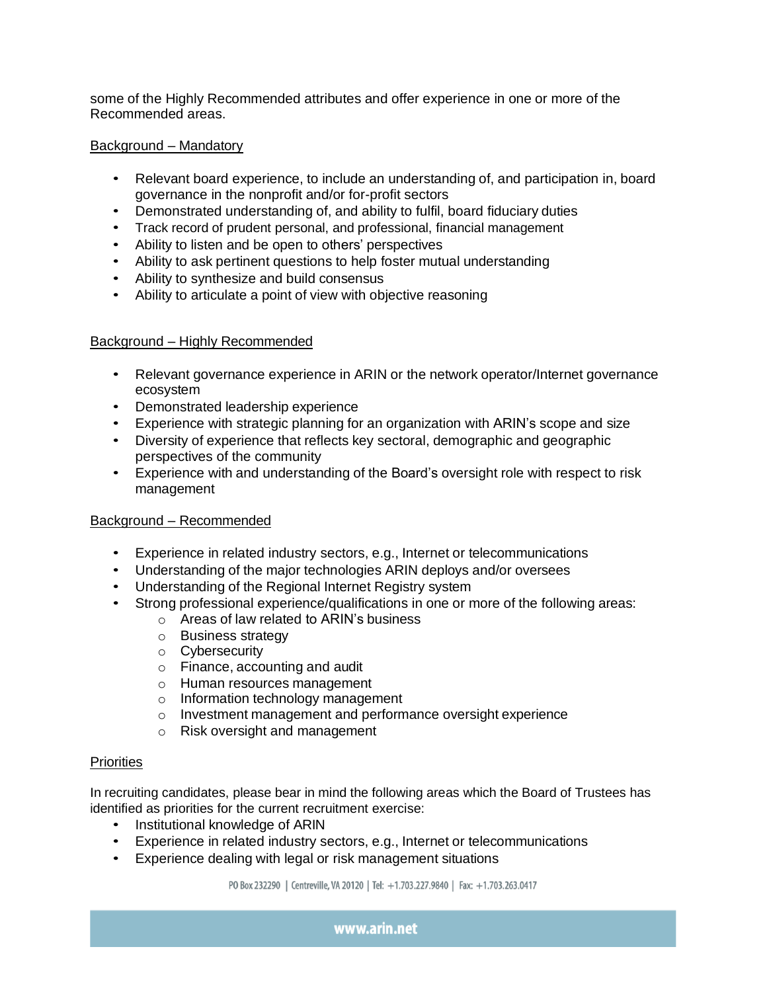some of the Highly Recommended attributes and offer experience in one or more of the Recommended areas.

## Background – Mandatory

- Relevant board experience, to include an understanding of, and participation in, board governance in the nonprofit and/or for-profit sectors
- Demonstrated understanding of, and ability to fulfil, board fiduciary duties
- Track record of prudent personal, and professional, financial management
- Ability to listen and be open to others' perspectives
- Ability to ask pertinent questions to help foster mutual understanding
- Ability to synthesize and build consensus
- Ability to articulate a point of view with objective reasoning

## Background – Highly Recommended

- Relevant governance experience in ARIN or the network operator/Internet governance ecosystem
- Demonstrated leadership experience
- Experience with strategic planning for an organization with ARIN's scope and size
- Diversity of experience that reflects key sectoral, demographic and geographic perspectives of the community
- Experience with and understanding of the Board's oversight role with respect to risk management

# Background – Recommended

- Experience in related industry sectors, e.g., Internet or telecommunications
- Understanding of the major technologies ARIN deploys and/or oversees
- Understanding of the Regional Internet Registry system
- Strong professional experience/qualifications in one or more of the following areas:
	- o Areas of law related to ARIN's business
	- o Business strategy
	- o Cybersecurity
	- o Finance, accounting and audit
	- o Human resources management
	- o Information technology management
	- o Investment management and performance oversight experience
	- o Risk oversight and management

### **Priorities**

In recruiting candidates, please bear in mind the following areas which the Board of Trustees has identified as priorities for the current recruitment exercise:

- Institutional knowledge of ARIN
- Experience in related industry sectors, e.g., Internet or telecommunications
- Experience dealing with legal or risk management situations

PO Box 232290 | Centreville, VA 20120 | Tel: +1.703.227.9840 | Fax: +1.703.263.0417

www.arin.net